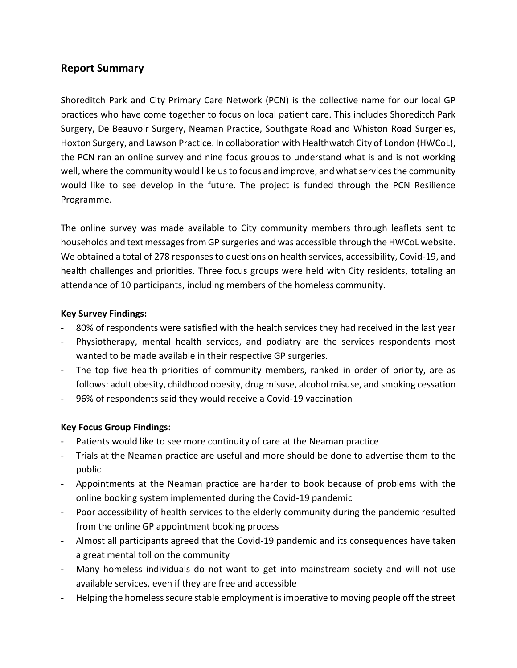# **Report Summary**

Shoreditch Park and City Primary Care Network (PCN) is the collective name for our local GP practices who have come together to focus on local patient care. This includes Shoreditch Park Surgery, De Beauvoir Surgery, Neaman Practice, Southgate Road and Whiston Road Surgeries, Hoxton Surgery, and Lawson Practice. In collaboration with Healthwatch City of London (HWCoL), the PCN ran an online survey and nine focus groups to understand what is and is not working well, where the community would like us to focus and improve, and what services the community would like to see develop in the future. The project is funded through the PCN Resilience Programme.

The online survey was made available to City community members through leaflets sent to households and text messages from GP surgeries and was accessible through the HWCoL website. We obtained a total of 278 responses to questions on health services, accessibility, Covid-19, and health challenges and priorities. Three focus groups were held with City residents, totaling an attendance of 10 participants, including members of the homeless community.

## **Key Survey Findings:**

- 80% of respondents were satisfied with the health services they had received in the last year
- Physiotherapy, mental health services, and podiatry are the services respondents most wanted to be made available in their respective GP surgeries.
- The top five health priorities of community members, ranked in order of priority, are as follows: adult obesity, childhood obesity, drug misuse, alcohol misuse, and smoking cessation
- 96% of respondents said they would receive a Covid-19 vaccination

## **Key Focus Group Findings:**

- Patients would like to see more continuity of care at the Neaman practice
- Trials at the Neaman practice are useful and more should be done to advertise them to the public
- Appointments at the Neaman practice are harder to book because of problems with the online booking system implemented during the Covid-19 pandemic
- Poor accessibility of health services to the elderly community during the pandemic resulted from the online GP appointment booking process
- Almost all participants agreed that the Covid-19 pandemic and its consequences have taken a great mental toll on the community
- Many homeless individuals do not want to get into mainstream society and will not use available services, even if they are free and accessible
- Helping the homeless secure stable employment is imperative to moving people off the street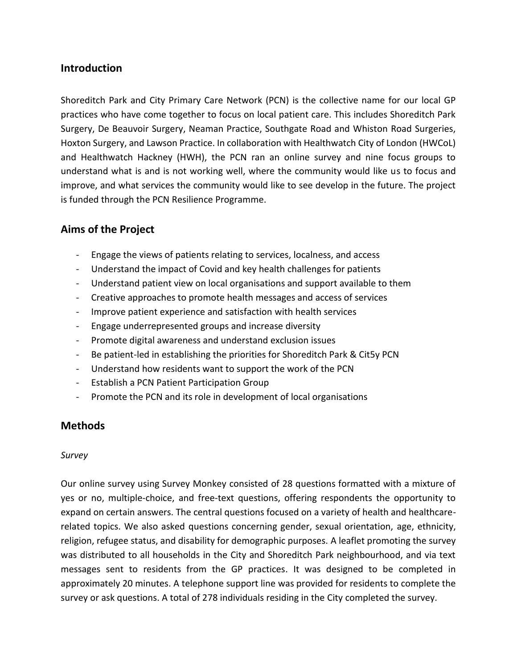## **Introduction**

Shoreditch Park and City Primary Care Network (PCN) is the collective name for our local GP practices who have come together to focus on local patient care. This includes Shoreditch Park Surgery, De Beauvoir Surgery, Neaman Practice, Southgate Road and Whiston Road Surgeries, Hoxton Surgery, and Lawson Practice. In collaboration with Healthwatch City of London (HWCoL) and Healthwatch Hackney (HWH), the PCN ran an online survey and nine focus groups to understand what is and is not working well, where the community would like us to focus and improve, and what services the community would like to see develop in the future. The project is funded through the PCN Resilience Programme.

# **Aims of the Project**

- Engage the views of patients relating to services, localness, and access
- Understand the impact of Covid and key health challenges for patients
- Understand patient view on local organisations and support available to them
- Creative approaches to promote health messages and access of services
- Improve patient experience and satisfaction with health services
- Engage underrepresented groups and increase diversity
- Promote digital awareness and understand exclusion issues
- Be patient-led in establishing the priorities for Shoreditch Park & Cit5y PCN
- Understand how residents want to support the work of the PCN
- Establish a PCN Patient Participation Group
- Promote the PCN and its role in development of local organisations

## **Methods**

#### *Survey*

Our online survey using Survey Monkey consisted of 28 questions formatted with a mixture of yes or no, multiple-choice, and free-text questions, offering respondents the opportunity to expand on certain answers. The central questions focused on a variety of health and healthcarerelated topics. We also asked questions concerning gender, sexual orientation, age, ethnicity, religion, refugee status, and disability for demographic purposes. A leaflet promoting the survey was distributed to all households in the City and Shoreditch Park neighbourhood, and via text messages sent to residents from the GP practices. It was designed to be completed in approximately 20 minutes. A telephone support line was provided for residents to complete the survey or ask questions. A total of 278 individuals residing in the City completed the survey.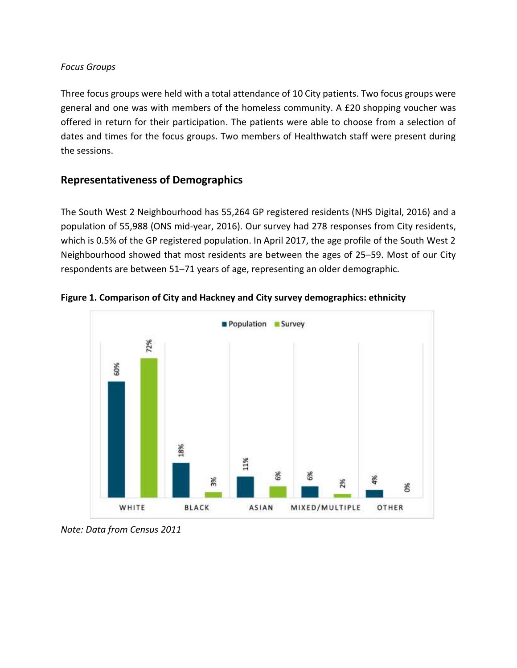#### *Focus Groups*

Three focus groups were held with a total attendance of 10 City patients. Two focus groups were general and one was with members of the homeless community. A £20 shopping voucher was offered in return for their participation. The patients were able to choose from a selection of dates and times for the focus groups. Two members of Healthwatch staff were present during the sessions.

# **Representativeness of Demographics**

The South West 2 Neighbourhood has 55,264 GP registered residents (NHS Digital, 2016) and a population of 55,988 (ONS mid-year, 2016). Our survey had 278 responses from City residents, which is 0.5% of the GP registered population. In April 2017, the age profile of the South West 2 Neighbourhood showed that most residents are between the ages of 25–59. Most of our City respondents are between 51–71 years of age, representing an older demographic.



**Figure 1. Comparison of City and Hackney and City survey demographics: ethnicity** 

*Note: Data from Census 2011*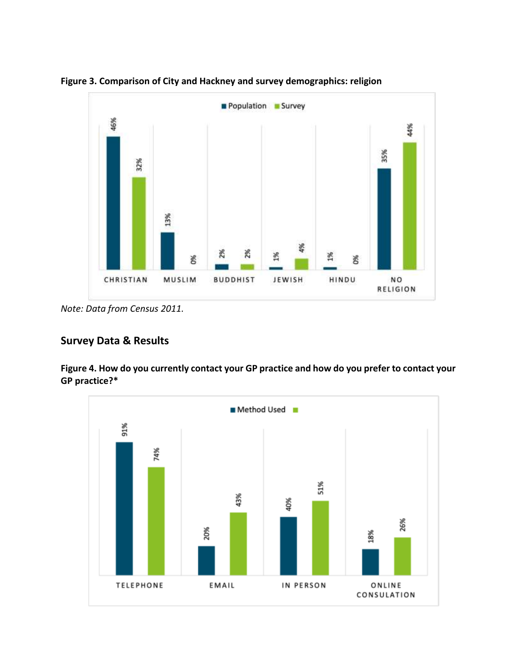

**Figure 3. Comparison of City and Hackney and survey demographics: religion**

*Note: Data from Census 2011.*

## **Survey Data & Results**

**Figure 4. How do you currently contact your GP practice and how do you prefer to contact your GP practice?\***

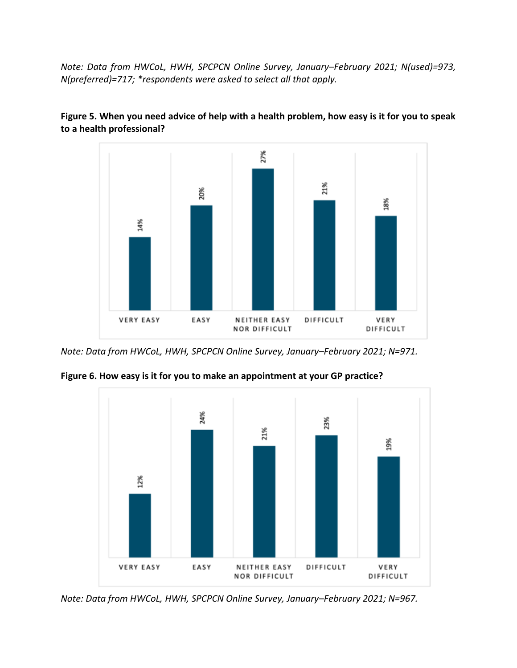*Note: Data from HWCoL, HWH, SPCPCN Online Survey, January–February 2021; N(used)=973, N(preferred)=717; \*respondents were asked to select all that apply.*



**Figure 5. When you need advice of help with a health problem, how easy is it for you to speak to a health professional?**

*Note: Data from HWCoL, HWH, SPCPCN Online Survey, January–February 2021; N=971.*



**Figure 6. How easy is it for you to make an appointment at your GP practice?**

*Note: Data from HWCoL, HWH, SPCPCN Online Survey, January–February 2021; N=967.*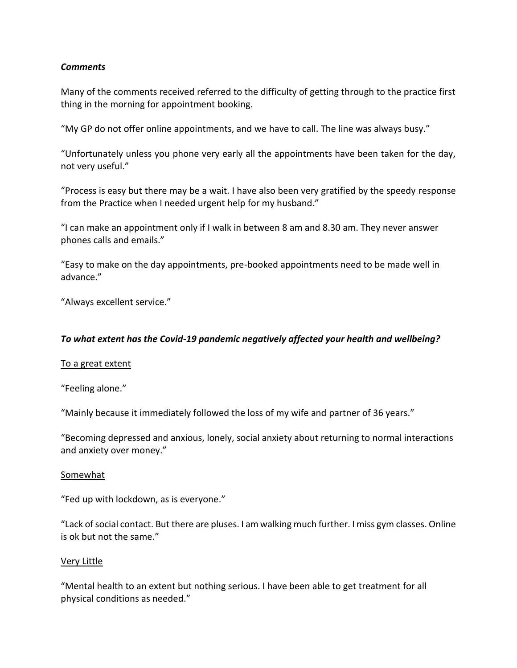#### *Comments*

Many of the comments received referred to the difficulty of getting through to the practice first thing in the morning for appointment booking.

"My GP do not offer online appointments, and we have to call. The line was always busy."

"Unfortunately unless you phone very early all the appointments have been taken for the day, not very useful."

"Process is easy but there may be a wait. I have also been very gratified by the speedy response from the Practice when I needed urgent help for my husband."

"I can make an appointment only if I walk in between 8 am and 8.30 am. They never answer phones calls and emails."

"Easy to make on the day appointments, pre-booked appointments need to be made well in advance."

"Always excellent service."

#### *To what extent has the Covid-19 pandemic negatively affected your health and wellbeing?*

#### To a great extent

"Feeling alone."

"Mainly because it immediately followed the loss of my wife and partner of 36 years."

"Becoming depressed and anxious, lonely, social anxiety about returning to normal interactions and anxiety over money."

#### Somewhat

"Fed up with lockdown, as is everyone."

"Lack of social contact. But there are pluses. I am walking much further. I miss gym classes. Online is ok but not the same."

#### Very Little

"Mental health to an extent but nothing serious. I have been able to get treatment for all physical conditions as needed."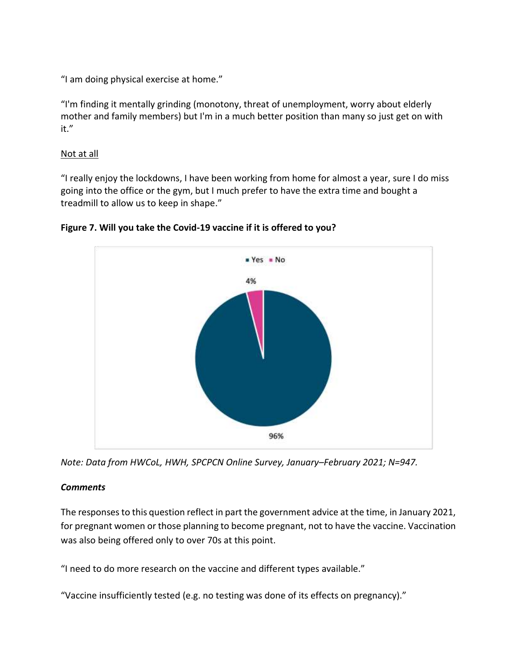"I am doing physical exercise at home."

"I'm finding it mentally grinding (monotony, threat of unemployment, worry about elderly mother and family members) but I'm in a much better position than many so just get on with it."

#### Not at all

"I really enjoy the lockdowns, I have been working from home for almost a year, sure I do miss going into the office or the gym, but I much prefer to have the extra time and bought a treadmill to allow us to keep in shape."



**Figure 7. Will you take the Covid-19 vaccine if it is offered to you?**

*Note: Data from HWCoL, HWH, SPCPCN Online Survey, January–February 2021; N=947.*

## *Comments*

The responses to this question reflect in part the government advice at the time, in January 2021, for pregnant women or those planning to become pregnant, not to have the vaccine. Vaccination was also being offered only to over 70s at this point.

"I need to do more research on the vaccine and different types available."

"Vaccine insufficiently tested (e.g. no testing was done of its effects on pregnancy)."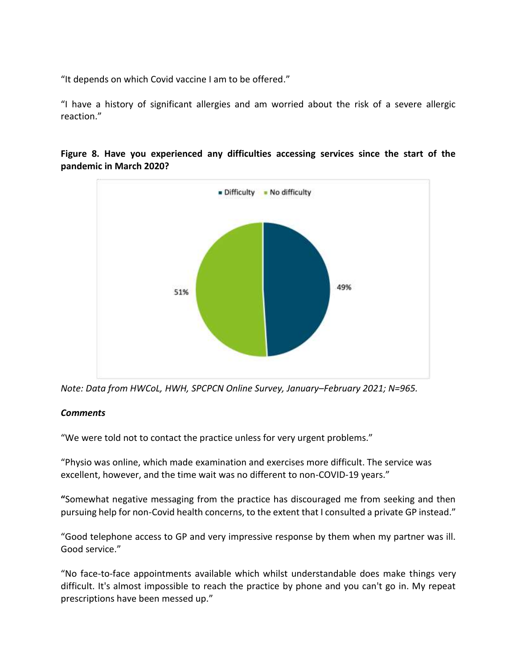"It depends on which Covid vaccine I am to be offered."

"I have a history of significant allergies and am worried about the risk of a severe allergic reaction."



## **Figure 8. Have you experienced any difficulties accessing services since the start of the pandemic in March 2020?**

*Note: Data from HWCoL, HWH, SPCPCN Online Survey, January–February 2021; N=965.*

## *Comments*

"We were told not to contact the practice unless for very urgent problems."

"Physio was online, which made examination and exercises more difficult. The service was excellent, however, and the time wait was no different to non-COVID-19 years."

**"**Somewhat negative messaging from the practice has discouraged me from seeking and then pursuing help for non-Covid health concerns, to the extent that I consulted a private GP instead."

"Good telephone access to GP and very impressive response by them when my partner was ill. Good service."

"No face-to-face appointments available which whilst understandable does make things very difficult. It's almost impossible to reach the practice by phone and you can't go in. My repeat prescriptions have been messed up."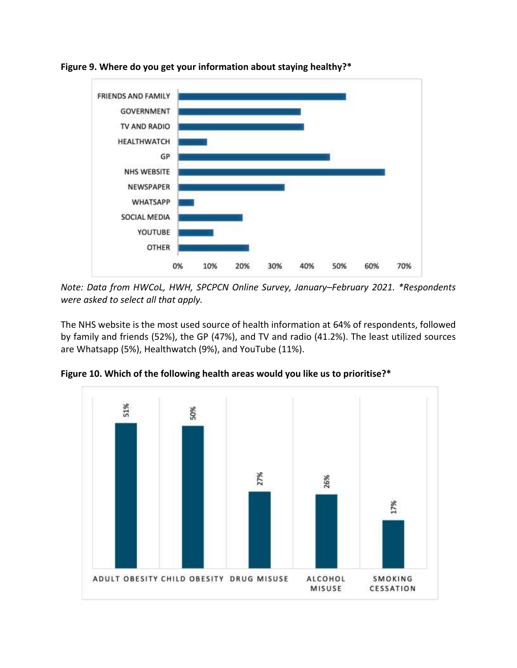

**Figure 9. Where do you get your information about staying healthy?\***

*Note: Data from HWCoL, HWH, SPCPCN Online Survey, January–February 2021. \*Respondents were asked to select all that apply.*

The NHS website is the most used source of health information at 64% of respondents, followed by family and friends (52%), the GP (47%), and TV and radio (41.2%). The least utilized sources are Whatsapp (5%), Healthwatch (9%), and YouTube (11%).



**Figure 10. Which of the following health areas would you like us to prioritise?\***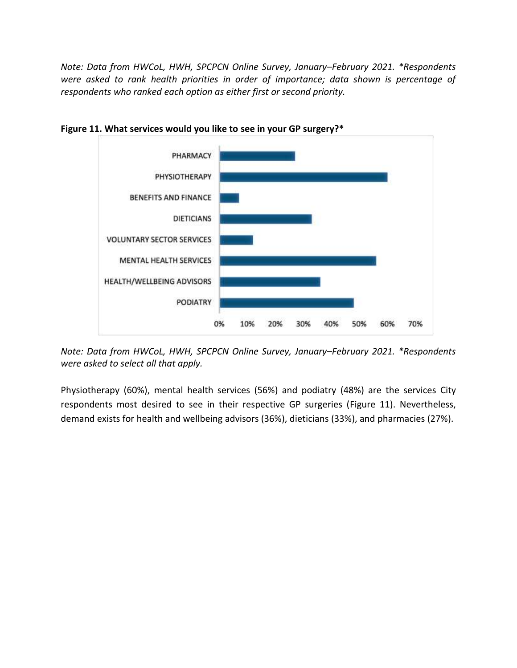*Note: Data from HWCoL, HWH, SPCPCN Online Survey, January–February 2021. \*Respondents were asked to rank health priorities in order of importance; data shown is percentage of respondents who ranked each option as either first or second priority.*



**Figure 11. What services would you like to see in your GP surgery?\***

*Note: Data from HWCoL, HWH, SPCPCN Online Survey, January–February 2021. \*Respondents were asked to select all that apply.*

Physiotherapy (60%), mental health services (56%) and podiatry (48%) are the services City respondents most desired to see in their respective GP surgeries (Figure 11). Nevertheless, demand exists for health and wellbeing advisors (36%), dieticians (33%), and pharmacies (27%).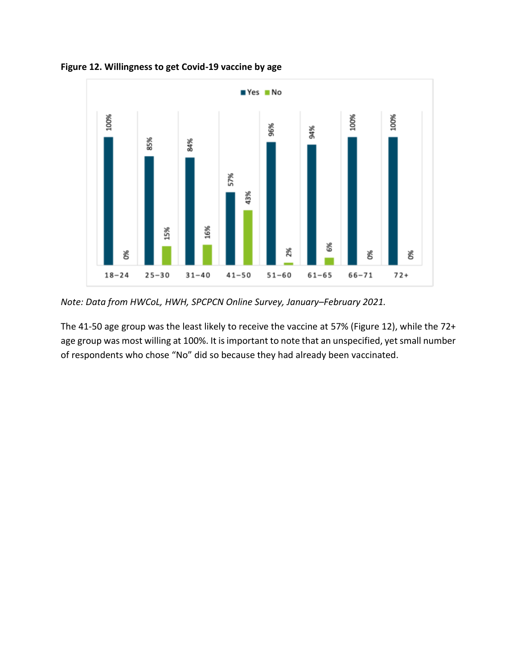

**Figure 12. Willingness to get Covid-19 vaccine by age**

*Note: Data from HWCoL, HWH, SPCPCN Online Survey, January–February 2021.*

The 41-50 age group was the least likely to receive the vaccine at 57% (Figure 12), while the 72+ age group was most willing at 100%. It is important to note that an unspecified, yet small number of respondents who chose "No" did so because they had already been vaccinated.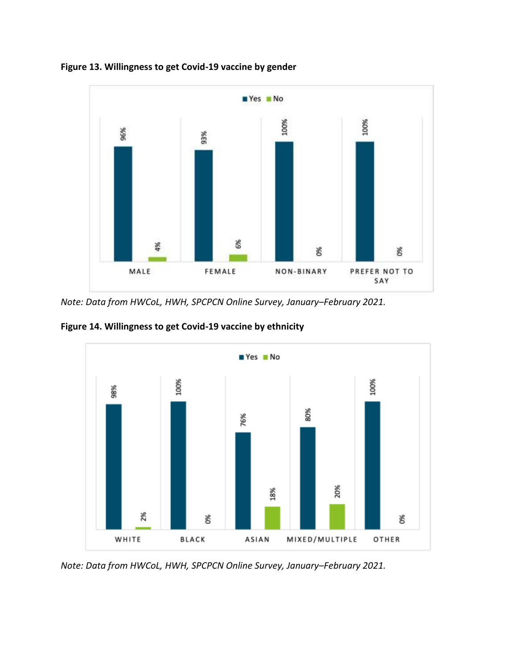

**Figure 13. Willingness to get Covid-19 vaccine by gender**

*Note: Data from HWCoL, HWH, SPCPCN Online Survey, January–February 2021.*

**Figure 14. Willingness to get Covid-19 vaccine by ethnicity**



*Note: Data from HWCoL, HWH, SPCPCN Online Survey, January–February 2021.*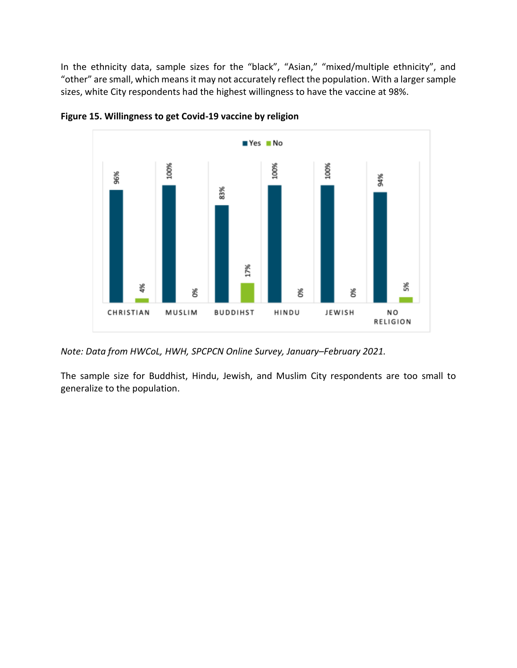In the ethnicity data, sample sizes for the "black", "Asian," "mixed/multiple ethnicity", and "other" are small, which means it may not accurately reflect the population. With a larger sample sizes, white City respondents had the highest willingness to have the vaccine at 98%.





*Note: Data from HWCoL, HWH, SPCPCN Online Survey, January–February 2021.*

The sample size for Buddhist, Hindu, Jewish, and Muslim City respondents are too small to generalize to the population.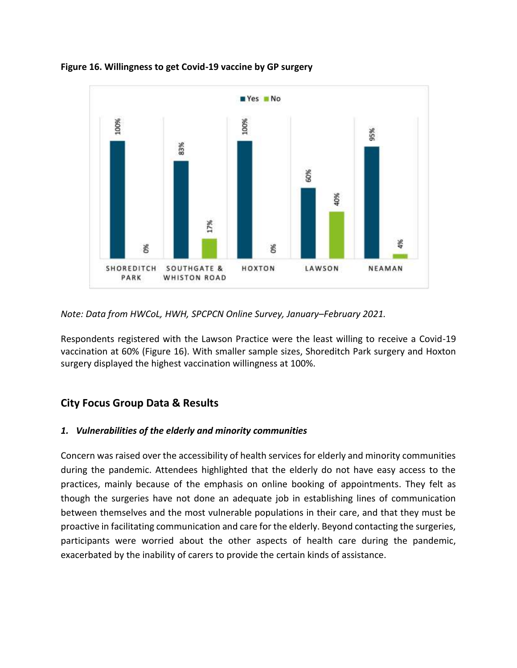

**Figure 16. Willingness to get Covid-19 vaccine by GP surgery**

*Note: Data from HWCoL, HWH, SPCPCN Online Survey, January–February 2021.*

Respondents registered with the Lawson Practice were the least willing to receive a Covid-19 vaccination at 60% (Figure 16). With smaller sample sizes, Shoreditch Park surgery and Hoxton surgery displayed the highest vaccination willingness at 100%.

## **City Focus Group Data & Results**

## *1. Vulnerabilities of the elderly and minority communities*

Concern was raised over the accessibility of health services for elderly and minority communities during the pandemic. Attendees highlighted that the elderly do not have easy access to the practices, mainly because of the emphasis on online booking of appointments. They felt as though the surgeries have not done an adequate job in establishing lines of communication between themselves and the most vulnerable populations in their care, and that they must be proactive in facilitating communication and care for the elderly. Beyond contacting the surgeries, participants were worried about the other aspects of health care during the pandemic, exacerbated by the inability of carers to provide the certain kinds of assistance.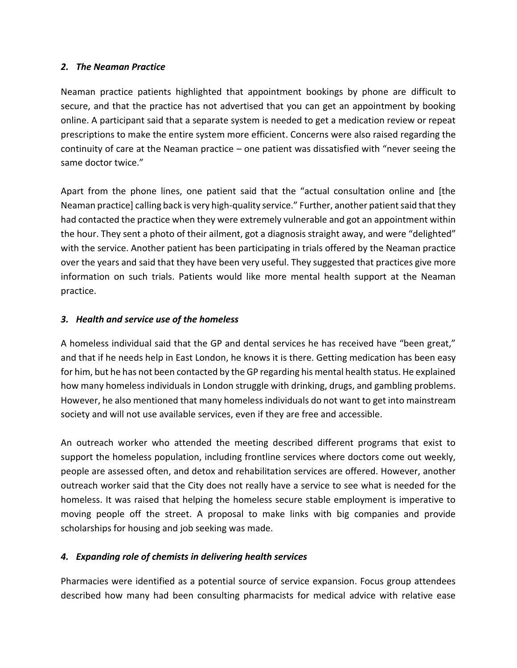## *2. The Neaman Practice*

Neaman practice patients highlighted that appointment bookings by phone are difficult to secure, and that the practice has not advertised that you can get an appointment by booking online. A participant said that a separate system is needed to get a medication review or repeat prescriptions to make the entire system more efficient. Concerns were also raised regarding the continuity of care at the Neaman practice – one patient was dissatisfied with "never seeing the same doctor twice."

Apart from the phone lines, one patient said that the "actual consultation online and [the Neaman practice] calling back is very high-quality service." Further, another patient said that they had contacted the practice when they were extremely vulnerable and got an appointment within the hour. They sent a photo of their ailment, got a diagnosis straight away, and were "delighted" with the service. Another patient has been participating in trials offered by the Neaman practice over the years and said that they have been very useful. They suggested that practices give more information on such trials. Patients would like more mental health support at the Neaman practice.

## *3. Health and service use of the homeless*

A homeless individual said that the GP and dental services he has received have "been great," and that if he needs help in East London, he knows it is there. Getting medication has been easy for him, but he has not been contacted by the GP regarding his mental health status. He explained how many homeless individuals in London struggle with drinking, drugs, and gambling problems. However, he also mentioned that many homeless individuals do not want to get into mainstream society and will not use available services, even if they are free and accessible.

An outreach worker who attended the meeting described different programs that exist to support the homeless population, including frontline services where doctors come out weekly, people are assessed often, and detox and rehabilitation services are offered. However, another outreach worker said that the City does not really have a service to see what is needed for the homeless. It was raised that helping the homeless secure stable employment is imperative to moving people off the street. A proposal to make links with big companies and provide scholarships for housing and job seeking was made.

## *4. Expanding role of chemists in delivering health services*

Pharmacies were identified as a potential source of service expansion. Focus group attendees described how many had been consulting pharmacists for medical advice with relative ease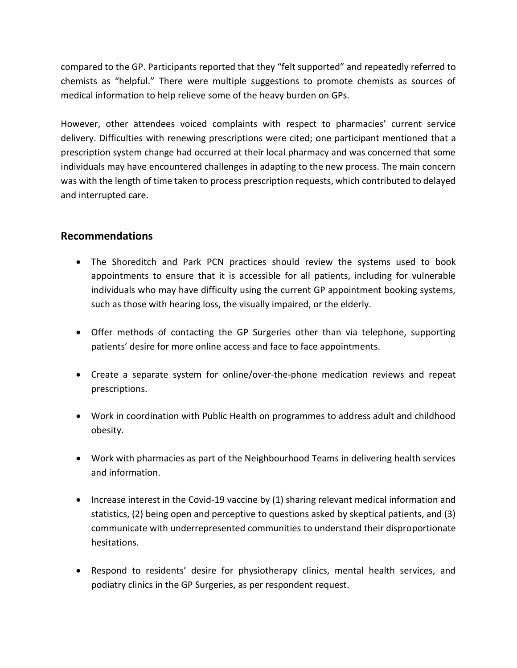compared to the GP. Participants reported that they "felt supported" and repeatedly referred to chemists as "helpful." There were multiple suggestions to promote chemists as sources of medical information to help relieve some of the heavy burden on GPs.

However, other attendees voiced complaints with respect to pharmacies' current service delivery. Difficulties with renewing prescriptions were cited; one participant mentioned that a prescription system change had occurred at their local pharmacy and was concerned that some individuals may have encountered challenges in adapting to the new process. The main concern was with the length of time taken to process prescription requests, which contributed to delayed and interrupted care.

## **Recommendations**

- The Shoreditch and Park PCN practices should review the systems used to book appointments to ensure that it is accessible for all patients, including for vulnerable individuals who may have difficulty using the current GP appointment booking systems, such as those with hearing loss, the visually impaired, or the elderly.
- Offer methods of contacting the GP Surgeries other than via telephone, supporting patients' desire for more online access and face to face appointments.
- Create a separate system for online/over-the-phone medication reviews and repeat prescriptions.
- Work in coordination with Public Health on programmes to address adult and childhood obesity.
- Work with pharmacies as part of the Neighbourhood Teams in delivering health services and information.
- Increase interest in the Covid-19 vaccine by (1) sharing relevant medical information and statistics, (2) being open and perceptive to questions asked by skeptical patients, and (3) communicate with underrepresented communities to understand their disproportionate hesitations.
- Respond to residents' desire for physiotherapy clinics, mental health services, and podiatry clinics in the GP Surgeries, as per respondent request.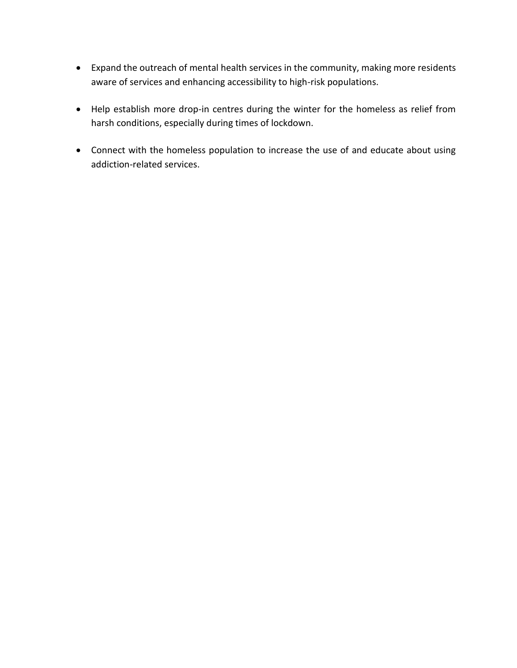- Expand the outreach of mental health services in the community, making more residents aware of services and enhancing accessibility to high-risk populations.
- Help establish more drop-in centres during the winter for the homeless as relief from harsh conditions, especially during times of lockdown.
- Connect with the homeless population to increase the use of and educate about using addiction-related services.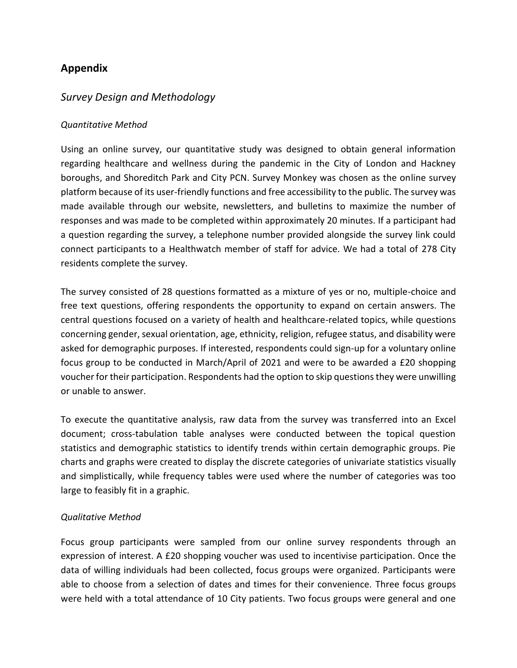# **Appendix**

# *Survey Design and Methodology*

#### *Quantitative Method*

Using an online survey, our quantitative study was designed to obtain general information regarding healthcare and wellness during the pandemic in the City of London and Hackney boroughs, and Shoreditch Park and City PCN. Survey Monkey was chosen as the online survey platform because of its user-friendly functions and free accessibility to the public. The survey was made available through our website, newsletters, and bulletins to maximize the number of responses and was made to be completed within approximately 20 minutes. If a participant had a question regarding the survey, a telephone number provided alongside the survey link could connect participants to a Healthwatch member of staff for advice. We had a total of 278 City residents complete the survey.

The survey consisted of 28 questions formatted as a mixture of yes or no, multiple-choice and free text questions, offering respondents the opportunity to expand on certain answers. The central questions focused on a variety of health and healthcare-related topics, while questions concerning gender, sexual orientation, age, ethnicity, religion, refugee status, and disability were asked for demographic purposes. If interested, respondents could sign-up for a voluntary online focus group to be conducted in March/April of 2021 and were to be awarded a £20 shopping voucher for their participation. Respondents had the option to skip questions they were unwilling or unable to answer.

To execute the quantitative analysis, raw data from the survey was transferred into an Excel document; cross-tabulation table analyses were conducted between the topical question statistics and demographic statistics to identify trends within certain demographic groups. Pie charts and graphs were created to display the discrete categories of univariate statistics visually and simplistically, while frequency tables were used where the number of categories was too large to feasibly fit in a graphic.

#### *Qualitative Method*

Focus group participants were sampled from our online survey respondents through an expression of interest. A £20 shopping voucher was used to incentivise participation. Once the data of willing individuals had been collected, focus groups were organized. Participants were able to choose from a selection of dates and times for their convenience. Three focus groups were held with a total attendance of 10 City patients. Two focus groups were general and one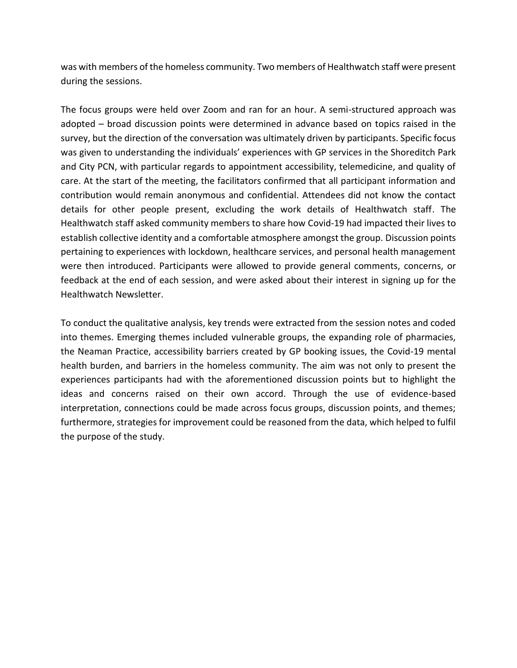was with members of the homeless community. Two members of Healthwatch staff were present during the sessions.

The focus groups were held over Zoom and ran for an hour. A semi-structured approach was adopted – broad discussion points were determined in advance based on topics raised in the survey, but the direction of the conversation was ultimately driven by participants. Specific focus was given to understanding the individuals' experiences with GP services in the Shoreditch Park and City PCN, with particular regards to appointment accessibility, telemedicine, and quality of care. At the start of the meeting, the facilitators confirmed that all participant information and contribution would remain anonymous and confidential. Attendees did not know the contact details for other people present, excluding the work details of Healthwatch staff. The Healthwatch staff asked community members to share how Covid-19 had impacted their lives to establish collective identity and a comfortable atmosphere amongst the group. Discussion points pertaining to experiences with lockdown, healthcare services, and personal health management were then introduced. Participants were allowed to provide general comments, concerns, or feedback at the end of each session, and were asked about their interest in signing up for the Healthwatch Newsletter.

To conduct the qualitative analysis, key trends were extracted from the session notes and coded into themes. Emerging themes included vulnerable groups, the expanding role of pharmacies, the Neaman Practice, accessibility barriers created by GP booking issues, the Covid-19 mental health burden, and barriers in the homeless community. The aim was not only to present the experiences participants had with the aforementioned discussion points but to highlight the ideas and concerns raised on their own accord. Through the use of evidence-based interpretation, connections could be made across focus groups, discussion points, and themes; furthermore, strategies for improvement could be reasoned from the data, which helped to fulfil the purpose of the study.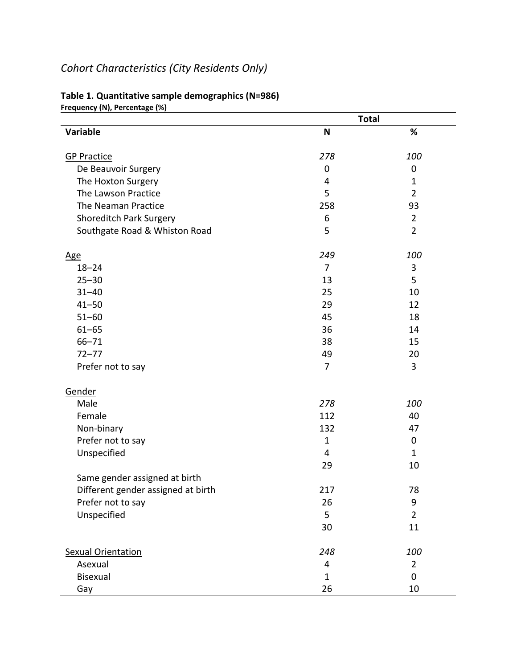# *Cohort Characteristics (City Residents Only)*

| $1$ cyachcy (19), i crechtage (79)<br>Variable | <b>Total</b>   |                |
|------------------------------------------------|----------------|----------------|
|                                                | N              | $\%$           |
| <b>GP Practice</b>                             | 278            | 100            |
| De Beauvoir Surgery                            | $\mathbf 0$    | $\pmb{0}$      |
| The Hoxton Surgery                             | 4              | $\mathbf{1}$   |
| The Lawson Practice                            | 5              | $\overline{2}$ |
| The Neaman Practice                            | 258            | 93             |
| <b>Shoreditch Park Surgery</b>                 | 6              | $\overline{2}$ |
| Southgate Road & Whiston Road                  | 5              | $\overline{2}$ |
| <u>Age</u>                                     | 249            | 100            |
| $18 - 24$                                      | 7              | 3              |
| $25 - 30$                                      | 13             | 5              |
| $31 - 40$                                      | 25             | 10             |
| $41 - 50$                                      | 29             | 12             |
| $51 - 60$                                      | 45             | 18             |
| $61 - 65$                                      | 36             | 14             |
| $66 - 71$                                      | 38             | 15             |
| $72 - 77$                                      | 49             | 20             |
| Prefer not to say                              | $\overline{7}$ | 3              |
| Gender                                         |                |                |
| Male                                           | 278            | 100            |
| Female                                         | 112            | 40             |
| Non-binary                                     | 132            | 47             |
| Prefer not to say                              | $\mathbf{1}$   | $\pmb{0}$      |
| Unspecified                                    | 4              | 1              |
|                                                | 29             | 10             |
| Same gender assigned at birth                  |                |                |
| Different gender assigned at birth             | 217            | 78             |
| Prefer not to say                              | 26             | 9              |
| Unspecified                                    | 5              | $\overline{2}$ |
|                                                | 30             | 11             |
| <b>Sexual Orientation</b>                      | 248            | 100            |
| Asexual                                        | 4              | $\overline{2}$ |
| <b>Bisexual</b>                                | $\mathbf{1}$   | 0              |
| Gay                                            | 26             | 10             |

#### **Table 1. Quantitative sample demographics (N=986)**

**Frequency (N), Percentage (%)**